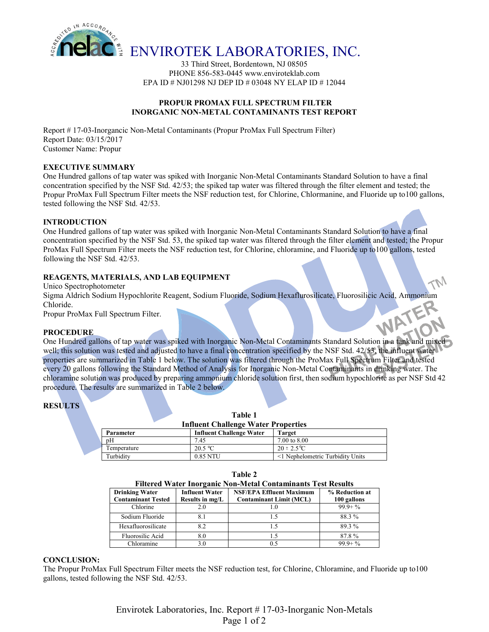

33 Third Street, Bordentown, NJ 08505 PHONE 856-583-0445 www.enviroteklab.com EPA ID # NJ01298 NJ DEP ID # 03048 NY ELAP ID # 12044

## **PROPUR PROMAX FULL SPECTRUM FILTER INORGANIC NON-METAL CONTAMINANTS TEST REPORT**

Report # 17-03-Inorgancic Non-Metal Contaminants (Propur ProMax Full Spectrum Filter) Report Date: 03/15/2017 Customer Name: Propur

## **EXECUTIVE SUMMARY**

One Hundred gallons of tap water was spiked with Inorganic Non-Metal Contaminants Standard Solution to have a final concentration specified by the NSF Std. 42/53; the spiked tap water was filtered through the filter element and tested; the Propur ProMax Full Spectrum Filter meets the NSF reduction test, for Chlorine, Chlormanine, and Fluoride up to100 gallons, tested following the NSF Std. 42/53.

## **INTRODUCTION**

One Hundred gallons of tap water was spiked with Inorganic Non-Metal Contaminants Standard Solution to have a final concentration specified by the NSF Std. 53, the spiked tap water was filtered through the filter element and tested; the Propur ProMax Full Spectrum Filter meets the NSF reduction test, for Chlorine, chloramine, and Fluoride up to100 gallons, tested following the NSF Std. 42/53.

## **REAGENTS, MATERIALS, AND LAB EQUIPMENT**

Unico Spectrophotometer

Sigma Aldrich Sodium Hypochlorite Reagent, Sodium Fluoride, Sodium Hexaflurosilicate, Fluorosilicic Acid, Ammonium<br>Chloride.<br>PROCEDURE Chloride.

Propur ProMax Full Spectrum Filter.

#### **PROCEDURE**

One Hundred gallons of tap water was spiked with Inorganic Non-Metal Contaminants Standard Solution in a tank and mixed well; this solution was tested and adjusted to have a final concentration specified by the NSF Std. 42/53, the influent water properties are summarized in Table 1 below. The solution was filtered through the ProMax Full Spectrum Filter and tested every 20 gallons following the Standard Method of Analysis for Inorganic Non-Metal Contaminants in drinking water. The chloramine solution was produced by preparing ammonium chloride solution first, then sodium hypochlorite as per NSF Std 42 procedure. The results are summarized in Table 2 below.

## **RESULTS**

#### **Table 1 Influent Challenge Water Properties**

| Parameter   | <b>Influent Challenge Water</b> | <b>Target</b>                    |
|-------------|---------------------------------|----------------------------------|
| pH          | 7.45                            | 7.00 to 8.00                     |
| Temperature | 20.5 °C                         | $20 \pm 2.5^{\circ}C$            |
| Turbidity   | 0.85 NTU                        | <1 Nephelometric Turbidity Units |

| anı |  |
|-----|--|
|-----|--|

| <b>Filtered Water Inorganic Non-Metal Contaminants Test Results</b> |  |  |
|---------------------------------------------------------------------|--|--|
|                                                                     |  |  |

| <b>Drinking Water</b><br><b>Contaminant Tested</b> | <b>Influent Water</b><br>Results in mg/L | <b>NSF/EPA Effluent Maximum</b><br><b>Contaminant Limit (MCL)</b> | % Reduction at<br>100 gallons |
|----------------------------------------------------|------------------------------------------|-------------------------------------------------------------------|-------------------------------|
| Chlorine                                           | 2.0                                      |                                                                   | $99.9 + \%$                   |
| Sodium Fluoride                                    |                                          |                                                                   | 88.3%                         |
| Hexafluorosilicate                                 | 8.2                                      |                                                                   | 89.3%                         |
| Fluorosilic Acid                                   | 8.0                                      |                                                                   | 87.8%                         |
| Chloramine                                         | 3.0                                      |                                                                   | $999 + \%$                    |

#### **CONCLUSION:**

The Propur ProMax Full Spectrum Filter meets the NSF reduction test, for Chlorine, Chloramine, and Fluoride up to100 gallons, tested following the NSF Std. 42/53.

> Envirotek Laboratories, Inc. Report # 17-03-Inorganic Non-Metals Page 1 of 2